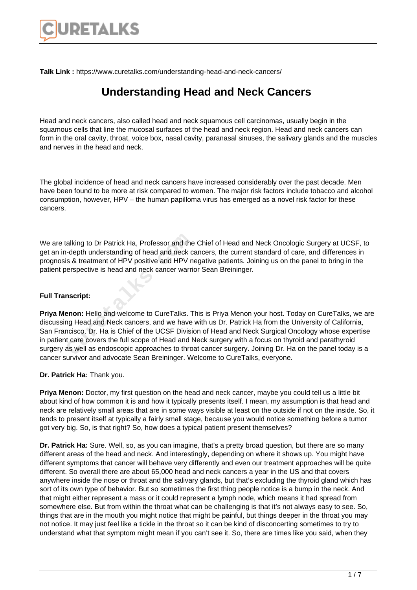

**Talk Link :** https://www.curetalks.com/understanding-head-and-neck-cancers/

## **Understanding Head and Neck Cancers**

Head and neck cancers, also called head and neck squamous cell carcinomas, usually begin in the squamous cells that line the mucosal surfaces of the head and neck region. Head and neck cancers can form in the oral cavity, throat, voice box, nasal cavity, paranasal sinuses, the salivary glands and the muscles and nerves in the head and neck.

The global incidence of head and neck cancers have increased considerably over the past decade. Men have been found to be more at risk compared to women. The major risk factors include tobacco and alcohol consumption, however, HPV – the human papilloma virus has emerged as a novel risk factor for these cancers.

We are talking to Dr Patrick Ha, Professor and the Chief of Head and Neck Oncologic Surgery at UCSF, to get an in-depth understanding of head and neck cancers, the current standard of care, and differences in prognosis & treatment of HPV positive and HPV negative patients. Joining us on the panel to bring in the patient perspective is head and neck cancer warrior Sean Breininger.

## **Full Transcript:**

**Priya Menon:** Hello and welcome to CureTalks. This is Priya Menon your host. Today on CureTalks, we are discussing Head and Neck cancers, and we have with us Dr. Patrick Ha from the University of California, San Francisco. Dr. Ha is Chief of the UCSF Division of Head and Neck Surgical Oncology whose expertise in patient care covers the full scope of Head and Neck surgery with a focus on thyroid and parathyroid surgery as well as endoscopic approaches to throat cancer surgery. Joining Dr. Ha on the panel today is a cancer survivor and advocate Sean Breininger. Welcome to CureTalks, everyone. alking to Dr Patrick Ha, Professor and the<br>
-depth understanding of head and neck c<br>
is & treatment of HPV positive and HPV n<br>
erspective is head and neck cancer warri<br>
mscript:<br> **Property:**<br> **Cure Standard Meck cancers, a** 

**Dr. Patrick Ha:** Thank you.

**Priya Menon:** Doctor, my first question on the head and neck cancer, maybe you could tell us a little bit about kind of how common it is and how it typically presents itself. I mean, my assumption is that head and neck are relatively small areas that are in some ways visible at least on the outside if not on the inside. So, it tends to present itself at typically a fairly small stage, because you would notice something before a tumor got very big. So, is that right? So, how does a typical patient present themselves?

**Dr. Patrick Ha:** Sure. Well, so, as you can imagine, that's a pretty broad question, but there are so many different areas of the head and neck. And interestingly, depending on where it shows up. You might have different symptoms that cancer will behave very differently and even our treatment approaches will be quite different. So overall there are about 65,000 head and neck cancers a year in the US and that covers anywhere inside the nose or throat and the salivary glands, but that's excluding the thyroid gland which has sort of its own type of behavior. But so sometimes the first thing people notice is a bump in the neck. And that might either represent a mass or it could represent a lymph node, which means it had spread from somewhere else. But from within the throat what can be challenging is that it's not always easy to see. So, things that are in the mouth you might notice that might be painful, but things deeper in the throat you may not notice. It may just feel like a tickle in the throat so it can be kind of disconcerting sometimes to try to understand what that symptom might mean if you can't see it. So, there are times like you said, when they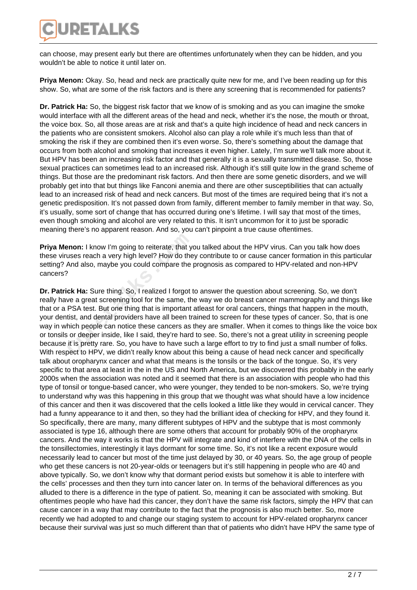

can choose, may present early but there are oftentimes unfortunately when they can be hidden, and you wouldn't be able to notice it until later on.

**Priya Menon:** Okay. So, head and neck are practically quite new for me, and I've been reading up for this show. So, what are some of the risk factors and is there any screening that is recommended for patients?

**Dr. Patrick Ha:** So, the biggest risk factor that we know of is smoking and as you can imagine the smoke would interface with all the different areas of the head and neck, whether it's the nose, the mouth or throat, the voice box. So, all those areas are at risk and that's a quite high incidence of head and neck cancers in the patients who are consistent smokers. Alcohol also can play a role while it's much less than that of smoking the risk if they are combined then it's even worse. So, there's something about the damage that occurs from both alcohol and smoking that increases it even higher. Lately, I'm sure we'll talk more about it. But HPV has been an increasing risk factor and that generally it is a sexually transmitted disease. So, those sexual practices can sometimes lead to an increased risk. Although it's still quite low in the grand scheme of things. But those are the predominant risk factors. And then there are some genetic disorders, and we will probably get into that but things like Fanconi anemia and there are other susceptibilities that can actually lead to an increased risk of head and neck cancers. But most of the times are required being that it's not a genetic predisposition. It's not passed down from family, different member to family member in that way. So, it's usually, some sort of change that has occurred during one's lifetime. I will say that most of the times, even though smoking and alcohol are very related to this. It isn't uncommon for it to just be sporadic meaning there's no apparent reason. And so, you can't pinpoint a true cause oftentimes.

**Priya Menon:** I know I'm going to reiterate, that you talked about the HPV virus. Can you talk how does these viruses reach a very high level? How do they contribute to or cause cancer formation in this particular setting? And also, maybe you could compare the prognosis as compared to HPV-related and non-HPV cancers?

**Dr. Patrick Ha:** Sure thing. So, I realized I forgot to answer the question about screening. So, we don't really have a great screening tool for the same, the way we do breast cancer mammography and things like that or a PSA test. But one thing that is important atleast for oral cancers, things that happen in the mouth, your dentist, and dental providers have all been trained to screen for these types of cancer. So, that is one way in which people can notice these cancers as they are smaller. When it comes to things like the voice box or tonsils or deeper inside, like I said, they're hard to see. So, there's not a great utility in screening people because it is pretty rare. So, you have to have such a large effort to try to find just a small number of folks. With respect to HPV, we didn't really know about this being a cause of head neck cancer and specifically talk about oropharynx cancer and what that means is the tonsils or the back of the tongue. So, it's very specific to that area at least in the in the US and North America, but we discovered this probably in the early 2000s when the association was noted and it seemed that there is an association with people who had this type of tonsil or tongue-based cancer, who were younger, they tended to be non-smokers. So, we're trying to understand why was this happening in this group that we thought was what should have a low incidence of this cancer and then it was discovered that the cells looked a little like they would in cervical cancer. They had a funny appearance to it and then, so they had the brilliant idea of checking for HPV, and they found it. So specifically, there are many, many different subtypes of HPV and the subtype that is most commonly associated is type 16, although there are some others that account for probably 90% of the oropharynx cancers. And the way it works is that the HPV will integrate and kind of interfere with the DNA of the cells in the tonsillectomies, interestingly it lays dormant for some time. So, it's not like a recent exposure would necessarily lead to cancer but most of the time just delayed by 30, or 40 years. So, the age group of people who get these cancers is not 20-year-olds or teenagers but it's still happening in people who are 40 and above typically. So, we don't know why that dormant period exists but somehow it is able to interfere with the cells' processes and then they turn into cancer later on. In terms of the behavioral differences as you alluded to there is a difference in the type of patient. So, meaning it can be associated with smoking. But oftentimes people who have had this cancer, they don't have the same risk factors, simply the HPV that can cause cancer in a way that may contribute to the fact that the prognosis is also much better. So, more recently we had adopted to and change our staging system to account for HPV-related oropharynx cancer because their survival was just so much different than that of patients who didn't have HPV the same type of **enon:** I know I'm going to reiterate, that youses reach a very high level? How do the And also, maybe you could compare the ?<br>
Cure And also, maybe you could compare the ?<br>
Cure And also, maybe you could compare the ?<br>
Cu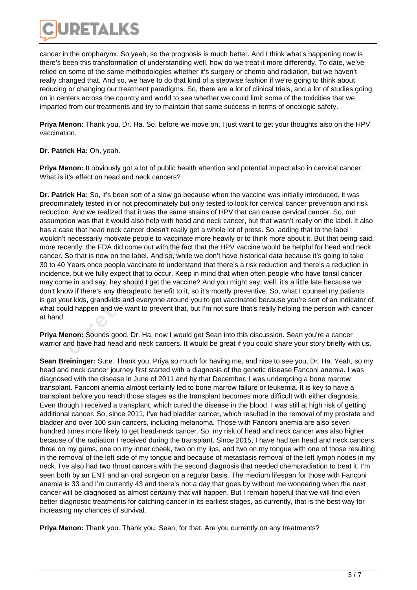

cancer in the oropharynx. So yeah, so the prognosis is much better. And I think what's happening now is there's been this transformation of understanding well, how do we treat it more differently. To date, we've relied on some of the same methodologies whether it's surgery or chemo and radiation, but we haven't really changed that. And so, we have to do that kind of a stepwise fashion if we're going to think about reducing or changing our treatment paradigms. So, there are a lot of clinical trials, and a lot of studies going on in centers across the country and world to see whether we could limit some of the toxicities that we imparted from our treatments and try to maintain that same success in terms of oncologic safety.

**Priya Menon:** Thank you, Dr. Ha. So, before we move on, I just want to get your thoughts also on the HPV vaccination.

## **Dr. Patrick Ha:** Oh, yeah.

**Priya Menon:** It obviously got a lot of public health attention and potential impact also in cervical cancer. What is it's effect on head and neck cancers?

**Dr. Patrick Ha:** So, it's been sort of a slow go because when the vaccine was initially introduced, it was predominately tested in or not predominately but only tested to look for cervical cancer prevention and risk reduction. And we realized that it was the same strains of HPV that can cause cervical cancer. So, our assumption was that it would also help with head and neck cancer, but that wasn't really on the label. It also has a case that head neck cancer doesn't really get a whole lot of press. So, adding that to the label wouldn't necessarily motivate people to vaccinate more heavily or to think more about it. But that being said, more recently, the FDA did come out with the fact that the HPV vaccine would be helpful for head and neck cancer. So that is now on the label. And so, while we don't have historical data because it's going to take 30 to 40 Years once people vaccinate to understand that there's a risk reduction and there's a reduction in incidence, but we fully expect that to occur. Keep in mind that when often people who have tonsil cancer may come in and say, hey should I get the vaccine? And you might say, well, it's a little late because we don't know if there's any therapeutic benefit to it, so it's mostly preventive. So, what I counsel my patients is get your kids, grandkids and everyone around you to get vaccinated because you're sort of an indicator of what could happen and we want to prevent that, but I'm not sure that's really helping the person with cancer at hand. necessarily motivate people to vaccinate<br>cently, the FDA did come out with the fact<br>So that is now on the label. And so, while<br>Years once people vaccinate to understa<br>e, but we fully expect that to occur. Keep<br>ne in and sa

**Priya Menon:** Sounds good. Dr. Ha, now I would get Sean into this discussion. Sean you're a cancer warrior and have had head and neck cancers. It would be great if you could share your story briefly with us.

**Sean Breininger:** Sure. Thank you, Priya so much for having me, and nice to see you, Dr. Ha. Yeah, so my head and neck cancer journey first started with a diagnosis of the genetic disease Fanconi anemia. I was diagnosed with the disease in June of 2011 and by that December, I was undergoing a bone marrow transplant. Fanconi anemia almost certainly led to bone marrow failure or leukemia. It is key to have a transplant before you reach those stages as the transplant becomes more difficult with either diagnosis. Even though I received a transplant, which cured the disease in the blood. I was still at high risk of getting additional cancer. So, since 2011, I've had bladder cancer, which resulted in the removal of my prostate and bladder and over 100 skin cancers, including melanoma. Those with Fanconi anemia are also seven hundred times more likely to get head-neck cancer. So, my risk of head and neck cancer was also higher because of the radiation I received during the transplant. Since 2015, I have had ten head and neck cancers, three on my gums, one on my inner cheek, two on my lips, and two on my tongue with one of those resulting in the removal of the left side of my tongue and because of metastasis removal of the left lymph nodes in my neck. I've also had two throat cancers with the second diagnosis that needed chemoradiation to treat it. I'm seen both by an ENT and an oral surgeon on a regular basis. The medium lifespan for those with Fanconi anemia is 33 and I'm currently 43 and there's not a day that goes by without me wondering when the next cancer will be diagnosed as almost certainly that will happen. But I remain hopeful that we will find even better diagnostic treatments for catching cancer in its earliest stages, as currently, that is the best way for increasing my chances of survival.

**Priya Menon:** Thank you. Thank you, Sean, for that. Are you currently on any treatments?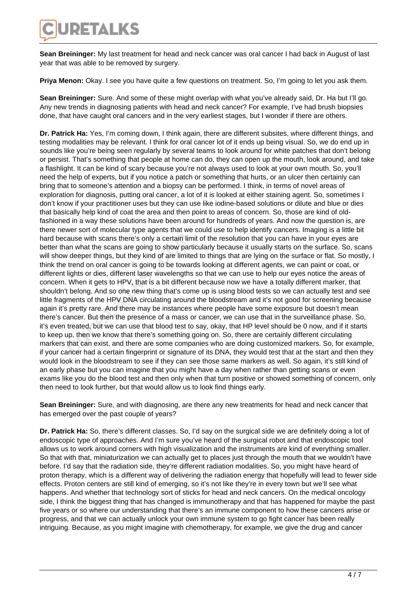

**Sean Breininger:** My last treatment for head and neck cancer was oral cancer I had back in August of last year that was able to be removed by surgery.

Priya Menon: Okay. I see you have quite a few questions on treatment. So, I'm going to let you ask them.

**Sean Breininger:** Sure. And some of these might overlap with what you've already said, Dr. Ha but I'll go. Any new trends in diagnosing patients with head and neck cancer? For example, I've had brush biopsies done, that have caught oral cancers and in the very earliest stages, but I wonder if there are others.

**Dr. Patrick Ha:** Yes, I'm coming down, I think again, there are different subsites, where different things, and testing modalities may be relevant. I think for oral cancer lot of it ends up being visual. So, we do end up in sounds like you're being seen regularly by several teams to look around for white patches that don't belong or persist. That's something that people at home can do, they can open up the mouth, look around, and take a flashlight. It can be kind of scary because you're not always used to look at your own mouth. So, you'll need the help of experts, but if you notice a patch or something that hurts, or an ulcer then certainly can bring that to someone's attention and a biopsy can be performed. I think, in terms of novel areas of exploration for diagnosis, putting oral cancer, a lot of it is looked at either staining agent. So, sometimes I don't know if your practitioner uses but they can use like iodine-based solutions or dilute and blue or dies that basically help kind of coat the area and then point to areas of concern. So, those are kind of oldfashioned in a way these solutions have been around for hundreds of years. And now the question is, are there newer sort of molecular type agents that we could use to help identify cancers. Imaging is a little bit hard because with scans there's only a certain limit of the resolution that you can have in your eyes are better than what the scans are going to show particularly because it usually starts on the surface. So, scans will show deeper things, but they kind of are limited to things that are lying on the surface or flat. So mostly, I think the trend on oral cancer is going to be towards looking at different agents, we can paint or coat, or different lights or dies, different laser wavelengths so that we can use to help our eyes notice the areas of concern. When it gets to HPV, that is a bit different because now we have a totally different marker, that shouldn't belong. And so one new thing that's come up is using blood tests so we can actually test and see little fragments of the HPV DNA circulating around the bloodstream and it's not good for screening because again it's pretty rare. And there may be instances where people have some exposure but doesn't mean there's cancer. But then the presence of a mass or cancer, we can use that in the surveillance phase. So, it's even treated, but we can use that blood test to say, okay, that HP level should be 0 now, and if it starts to keep up, then we know that there's something going on. So, there are certainly different circulating markers that can exist, and there are some companies who are doing customized markers. So, for example, if your cancer had a certain fingerprint or signature of its DNA, they would test that at the start and then they would look in the bloodstream to see if they can see those same markers as well. So again, it's still kind of an early phase but you can imagine that you might have a day when rather than getting scans or even exams like you do the blood test and then only when that turn positive or showed something of concern, only then need to look further, but that would allow us to look find things early. cause with scans there's only a certain lim<br>an what the scans are going to show part<br>*i* deeper things, but they kind of are limite<br>trend on oral cancer is going to be towar<br>lights or dies, different laser wavelengths<br>When

**Sean Breininger:** Sure, and with diagnosing, are there any new treatments for head and neck cancer that has emerged over the past couple of years?

**Dr. Patrick Ha:** So, there's different classes. So, I'd say on the surgical side we are definitely doing a lot of endoscopic type of approaches. And I'm sure you've heard of the surgical robot and that endoscopic tool allows us to work around corners with high visualization and the instruments are kind of everything smaller. So that with that, miniaturization we can actually get to places just through the mouth that we wouldn't have before. I'd say that the radiation side, they're different radiation modalities. So, you might have heard of proton therapy, which is a different way of delivering the radiation energy that hopefully will lead to fewer side effects. Proton centers are still kind of emerging, so it's not like they're in every town but we'll see what happens. And whether that technology sort of sticks for head and neck cancers. On the medical oncology side, I think the biggest thing that has changed is immunotherapy and that has happened for maybe the past five years or so where our understanding that there's an immune component to how these cancers arise or progress, and that we can actually unlock your own immune system to go fight cancer has been really intriguing. Because, as you might imagine with chemotherapy, for example, we give the drug and cancer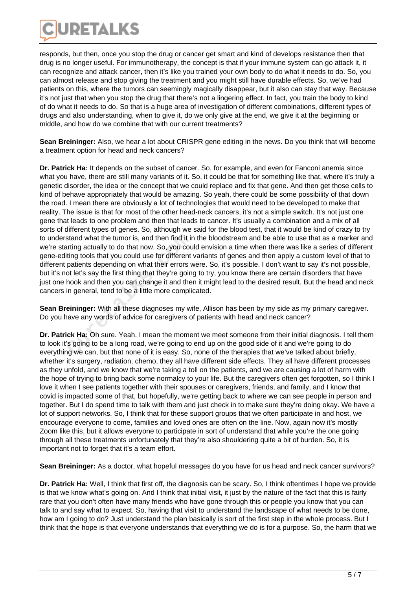

responds, but then, once you stop the drug or cancer get smart and kind of develops resistance then that drug is no longer useful. For immunotherapy, the concept is that if your immune system can go attack it, it can recognize and attack cancer, then it's like you trained your own body to do what it needs to do. So, you can almost release and stop giving the treatment and you might still have durable effects. So, we've had patients on this, where the tumors can seemingly magically disappear, but it also can stay that way. Because it's not just that when you stop the drug that there's not a lingering effect. In fact, you train the body to kind of do what it needs to do. So that is a huge area of investigation of different combinations, different types of drugs and also understanding, when to give it, do we only give at the end, we give it at the beginning or middle, and how do we combine that with our current treatments?

**Sean Breininger:** Also, we hear a lot about CRISPR gene editing in the news. Do you think that will become a treatment option for head and neck cancers?

**Dr. Patrick Ha:** It depends on the subset of cancer. So, for example, and even for Fanconi anemia since what you have, there are still many variants of it. So, it could be that for something like that, where it's truly a genetic disorder, the idea or the concept that we could replace and fix that gene. And then get those cells to kind of behave appropriately that would be amazing. So yeah, there could be some possibility of that down the road. I mean there are obviously a lot of technologies that would need to be developed to make that reality. The issue is that for most of the other head-neck cancers, it's not a simple switch. It's not just one gene that leads to one problem and then that leads to cancer. It's usually a combination and a mix of all sorts of different types of genes. So, although we said for the blood test, that it would be kind of crazy to try to understand what the tumor is, and then find it in the bloodstream and be able to use that as a marker and we're starting actually to do that now. So, you could envision a time when there was like a series of different gene-editing tools that you could use for different variants of genes and then apply a custom level of that to different patients depending on what their errors were. So, it's possible. I don't want to say it's not possible, but it's not let's say the first thing that they're going to try, you know there are certain disorders that have just one hook and then you can change it and then it might lead to the desired result. But the head and neck cancers in general, tend to be a little more complicated. stand what the tumor is, and then find it in<br>arting actually to do that now. So, you cou<br>ting tools that you could use for different<br>patients depending on what their errors w<br>ot let's say the first thing that they're goin<sub></sub>

**Sean Breininger:** With all these diagnoses my wife, Allison has been by my side as my primary caregiver. Do you have any words of advice for caregivers of patients with head and neck cancer?

**Dr. Patrick Ha:** Oh sure. Yeah. I mean the moment we meet someone from their initial diagnosis. I tell them to look it's going to be a long road, we're going to end up on the good side of it and we're going to do everything we can, but that none of it is easy. So, none of the therapies that we've talked about briefly, whether it's surgery, radiation, chemo, they all have different side effects. They all have different processes as they unfold, and we know that we're taking a toll on the patients, and we are causing a lot of harm with the hope of trying to bring back some normalcy to your life. But the caregivers often get forgotten, so I think I love it when I see patients together with their spouses or caregivers, friends, and family, and I know that covid is impacted some of that, but hopefully, we're getting back to where we can see people in person and together. But I do spend time to talk with them and just check in to make sure they're doing okay. We have a lot of support networks. So, I think that for these support groups that we often participate in and host, we encourage everyone to come, families and loved ones are often on the line. Now, again now it's mostly Zoom like this, but it allows everyone to participate in sort of understand that while you're the one going through all these treatments unfortunately that they're also shouldering quite a bit of burden. So, it is important not to forget that it's a team effort.

**Sean Breininger:** As a doctor, what hopeful messages do you have for us head and neck cancer survivors?

**Dr. Patrick Ha:** Well, I think that first off, the diagnosis can be scary. So, I think oftentimes I hope we provide is that we know what's going on. And I think that initial visit, it just by the nature of the fact that this is fairly rare that you don't often have many friends who have gone through this or people you know that you can talk to and say what to expect. So, having that visit to understand the landscape of what needs to be done, how am I going to do? Just understand the plan basically is sort of the first step in the whole process. But I think that the hope is that everyone understands that everything we do is for a purpose. So, the harm that we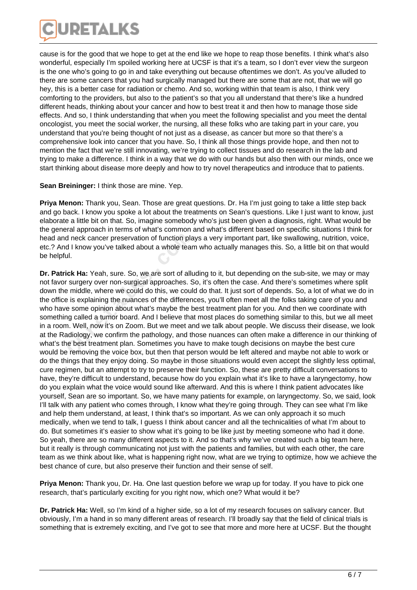

cause is for the good that we hope to get at the end like we hope to reap those benefits. I think what's also wonderful, especially I'm spoiled working here at UCSF is that it's a team, so I don't ever view the surgeon is the one who's going to go in and take everything out because oftentimes we don't. As you've alluded to there are some cancers that you had surgically managed but there are some that are not, that we will go hey, this is a better case for radiation or chemo. And so, working within that team is also, I think very comforting to the providers, but also to the patient's so that you all understand that there's like a hundred different heads, thinking about your cancer and how to best treat it and then how to manage those side effects. And so, I think understanding that when you meet the following specialist and you meet the dental oncologist, you meet the social worker, the nursing, all these folks who are taking part in your care, you understand that you're being thought of not just as a disease, as cancer but more so that there's a comprehensive look into cancer that you have. So, I think all those things provide hope, and then not to mention the fact that we're still innovating, we're trying to collect tissues and do research in the lab and trying to make a difference. I think in a way that we do with our hands but also then with our minds, once we start thinking about disease more deeply and how to try novel therapeutics and introduce that to patients.

## **Sean Breininger:** I think those are mine. Yep.

**Priya Menon:** Thank you, Sean. Those are great questions. Dr. Ha I'm just going to take a little step back and go back. I know you spoke a lot about the treatments on Sean's questions. Like I just want to know, just elaborate a little bit on that. So, imagine somebody who's just been given a diagnosis, right. What would be the general approach in terms of what's common and what's different based on specific situations I think for head and neck cancer preservation of function plays a very important part, like swallowing, nutrition, voice, etc.? And I know you've talked about a whole team who actually manages this. So, a little bit on that would be helpful.

**Dr. Patrick Ha:** Yeah, sure. So, we are sort of alluding to it, but depending on the sub-site, we may or may not favor surgery over non-surgical approaches. So, it's often the case. And there's sometimes where split down the middle, where we could do this, we could do that. It just sort of depends. So, a lot of what we do in the office is explaining the nuances of the differences, you'll often meet all the folks taking care of you and who have some opinion about what's maybe the best treatment plan for you. And then we coordinate with something called a tumor board. And I believe that most places do something similar to this, but we all meet in a room. Well, now it's on Zoom. But we meet and we talk about people. We discuss their disease, we look at the Radiology, we confirm the pathology, and those nuances can often make a difference in our thinking of what's the best treatment plan. Sometimes you have to make tough decisions on maybe the best cure would be removing the voice box, but then that person would be left altered and maybe not able to work or do the things that they enjoy doing. So maybe in those situations would even accept the slightly less optimal, cure regimen, but an attempt to try to preserve their function. So, these are pretty difficult conversations to have, they're difficult to understand, because how do you explain what it's like to have a laryngectomy, how do you explain what the voice would sound like afterward. And this is where I think patient advocates like yourself, Sean are so important. So, we have many patients for example, on laryngectomy. So, we said, look I'll talk with any patient who comes through, I know what they're going through. They can see what I'm like and help them understand, at least, I think that's so important. As we can only approach it so much medically, when we tend to talk, I guess I think about cancer and all the technicalities of what I'm about to do. But sometimes it's easier to show what it's going to be like just by meeting someone who had it done. So yeah, there are so many different aspects to it. And so that's why we've created such a big team here, but it really is through communicating not just with the patients and families, but with each other, the care team as we think about like, what is happening right now, what are we trying to optimize, how we achieve the best chance of cure, but also preserve their function and their sense of self. d neck cancer preservation of function plad I know you've talked about a whole tear<br>ul.<br>**Cult Ha:** Yeah, sure. So, we are sort of all<br>**Cult Ha:** Yeah, sure. So, we are sort of all<br>**Cult Example 1** is explaining the nuances

**Priya Menon:** Thank you, Dr. Ha. One last question before we wrap up for today. If you have to pick one research, that's particularly exciting for you right now, which one? What would it be?

**Dr. Patrick Ha:** Well, so I'm kind of a higher side, so a lot of my research focuses on salivary cancer. But obviously, I'm a hand in so many different areas of research. I'll broadly say that the field of clinical trials is something that is extremely exciting, and I've got to see that more and more here at UCSF. But the thought